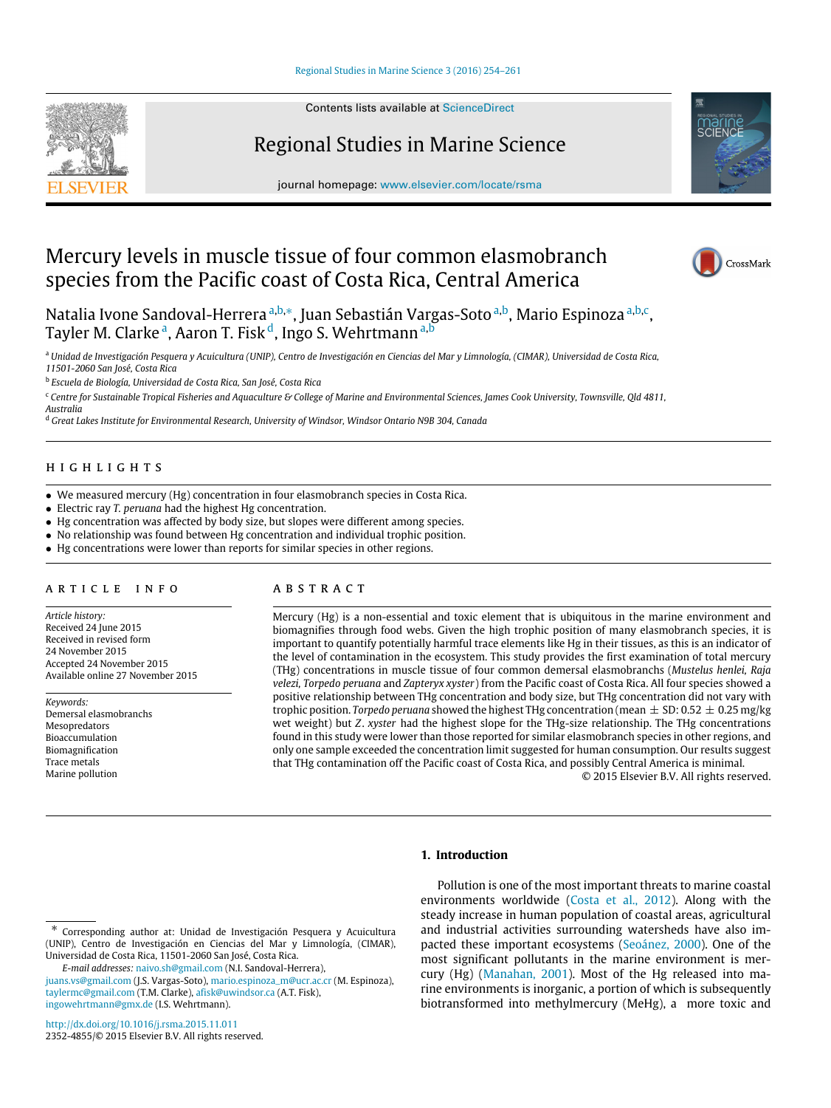## [Regional Studies in Marine Science 3 \(2016\) 254–261](http://dx.doi.org/10.1016/j.rsma.2015.11.011)

Contents lists available at [ScienceDirect](http://www.elsevier.com/locate/rsma)



Regional Studies in Marine Science

journal homepage: [www.elsevier.com/locate/rsma](http://www.elsevier.com/locate/rsma)



# Mercury levels in muscle tissue of four common elasmobranch species from the Pacific coast of Costa Rica, Central America



Natalia Ivone Sandoval-Herrera ª,b,\*, Juan Sebastián Vargas-Soto <sup>[a,](#page-0-0)b</sup>, Mario Espinoza <sup>a,[b,](#page-0-1)[c](#page-0-3)</sup>, T[a](#page-0-0)yler M. Clarke<sup>a</sup>, Aaron T. Fisk<sup>[d](#page-0-4)</sup>, Ingo S. Wehrtmann<sup>a[,b](#page-0-1)</sup>

<span id="page-0-0"></span><sup>a</sup> *Unidad de Investigación Pesquera y Acuicultura (UNIP), Centro de Investigación en Ciencias del Mar y Limnología, (CIMAR), Universidad de Costa Rica, 11501-2060 San José, Costa Rica*

<span id="page-0-1"></span>b *Escuela de Biología, Universidad de Costa Rica, San José, Costa Rica*

<span id="page-0-3"></span><sup>c</sup> *Centre for Sustainable Tropical Fisheries and Aquaculture & College of Marine and Environmental Sciences, James Cook University, Townsville, Qld 4811, Australia*

<span id="page-0-4"></span><sup>d</sup> *Great Lakes Institute for Environmental Research, University of Windsor, Windsor Ontario N9B 304, Canada*

## h i g h l i g h t s

- We measured mercury (Hg) concentration in four elasmobranch species in Costa Rica.
- Electric ray *T. peruana* had the highest Hg concentration.
- Hg concentration was affected by body size, but slopes were different among species.
- No relationship was found between Hg concentration and individual trophic position.
- Hg concentrations were lower than reports for similar species in other regions.

# ARTICLE INFO

*Article history:* Received 24 June 2015 Received in revised form 24 November 2015 Accepted 24 November 2015 Available online 27 November 2015

*Keywords:* Demersal elasmobranchs Mesopredators Bioaccumulation Biomagnification Trace metals Marine pollution

# a b s t r a c t

Mercury (Hg) is a non-essential and toxic element that is ubiquitous in the marine environment and biomagnifies through food webs. Given the high trophic position of many elasmobranch species, it is important to quantify potentially harmful trace elements like Hg in their tissues, as this is an indicator of the level of contamination in the ecosystem. This study provides the first examination of total mercury (THg) concentrations in muscle tissue of four common demersal elasmobranchs (*Mustelus henlei, Raja velezi, Torpedo peruana* and *Zapteryx xyster*) from the Pacific coast of Costa Rica. All four species showed a positive relationship between THg concentration and body size, but THg concentration did not vary with trophic position. *Torpedo peruana* showed the highest THg concentration (mean  $\pm$  SD: 0.52  $\pm$  0.25 mg/kg wet weight) but *Z*. *xyster* had the highest slope for the THg-size relationship. The THg concentrations found in this study were lower than those reported for similar elasmobranch species in other regions, and only one sample exceeded the concentration limit suggested for human consumption. Our results suggest that THg contamination off the Pacific coast of Costa Rica, and possibly Central America is minimal.

© 2015 Elsevier B.V. All rights reserved.

## **1. Introduction**

*E-mail addresses:* [naivo.sh@gmail.com](mailto:naivo.sh@gmail.com) (N.I. Sandoval-Herrera),

Pollution is one of the most important threats to marine coastal environments worldwide [\(Costa](#page-6-0) [et al.,](#page-6-0) [2012\)](#page-6-0). Along with the steady increase in human population of coastal areas, agricultural and industrial activities surrounding watersheds have also impacted these important ecosystems [\(Seoánez,](#page-7-0) [2000\)](#page-7-0). One of the most significant pollutants in the marine environment is mercury (Hg) [\(Manahan,](#page-7-1) [2001\)](#page-7-1). Most of the Hg released into marine environments is inorganic, a portion of which is subsequently biotransformed into methylmercury (MeHg), a more toxic and

<span id="page-0-2"></span><sup>∗</sup> Corresponding author at: Unidad de Investigación Pesquera y Acuicultura (UNIP), Centro de Investigación en Ciencias del Mar y Limnología, (CIMAR), Universidad de Costa Rica, 11501-2060 San José, Costa Rica.

[juans.vs@gmail.com](mailto:juans.vs@gmail.com) (J.S. Vargas-Soto), [mario.espinoza\\_m@ucr.ac.cr](mailto:mario.espinoza_m@ucr.ac.cr) (M. Espinoza), [taylermc@gmail.com](mailto:taylermc@gmail.com) (T.M. Clarke), [afisk@uwindsor.ca](mailto:afisk@uwindsor.ca) (A.T. Fisk), [ingowehrtmann@gmx.de](mailto:ingowehrtmann@gmx.de) (I.S. Wehrtmann).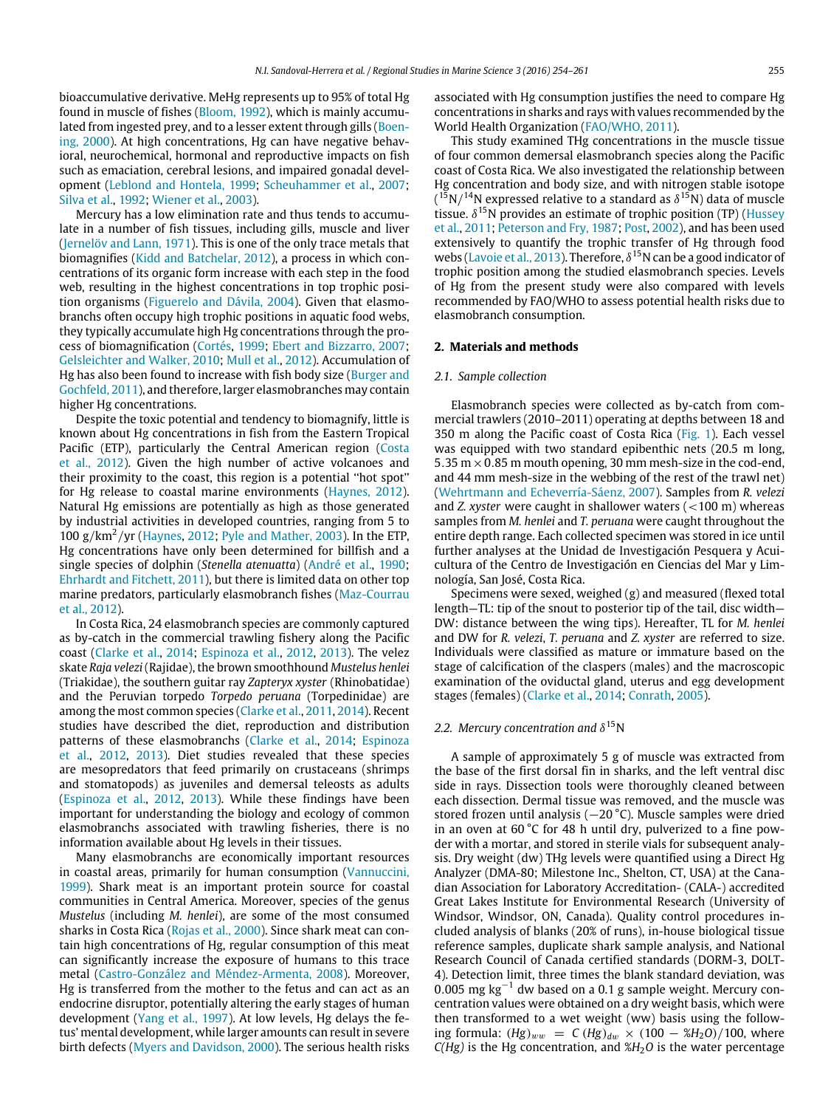bioaccumulative derivative. MeHg represents up to 95% of total Hg found in muscle of fishes [\(Bloom,](#page-6-1) [1992\)](#page-6-1), which is mainly accumu[l](#page-6-2)ated from ingested prey, and to a lesser extent through gills [\(Boen](#page-6-2)[ing,](#page-6-2) [2000\)](#page-6-2). At high concentrations, Hg can have negative behavioral, neurochemical, hormonal and reproductive impacts on fish such as emaciation, cerebral lesions, and impaired gonadal development [\(Leblond](#page-7-2) [and](#page-7-2) [Hontela,](#page-7-2) [1999;](#page-7-2) [Scheuhammer](#page-7-3) [et al.,](#page-7-3) [2007;](#page-7-3) [Silva](#page-7-4) [et al.,](#page-7-4) [1992;](#page-7-4) [Wiener](#page-7-5) [et al.,](#page-7-5) [2003\)](#page-7-5).

Mercury has a low elimination rate and thus tends to accumulate in a number of fish tissues, including gills, muscle and liver [\(Jernelöv](#page-7-6) [and](#page-7-6) [Lann,](#page-7-6) [1971\)](#page-7-6). This is one of the only trace metals that biomagnifies [\(Kidd](#page-7-7) [and](#page-7-7) [Batchelar,](#page-7-7) [2012\)](#page-7-7), a process in which concentrations of its organic form increase with each step in the food web, resulting in the highest concentrations in top trophic position organisms [\(Figuerelo](#page-7-8) [and](#page-7-8) [Dávila,](#page-7-8) [2004\)](#page-7-8). Given that elasmobranchs often occupy high trophic positions in aquatic food webs, they typically accumulate high Hg concentrations through the process of biomagnification [\(Cortés,](#page-6-3) [1999;](#page-6-3) [Ebert](#page-6-4) [and](#page-6-4) [Bizzarro,](#page-6-4) [2007;](#page-6-4) [Gelsleichter](#page-7-9) [and](#page-7-9) [Walker,](#page-7-9) [2010;](#page-7-9) [Mull](#page-7-10) [et al.,](#page-7-10) [2012\)](#page-7-10). Accumulation of Hg has also been found to increase with fish body size [\(Burger](#page-6-5) [and](#page-6-5) [Gochfeld,](#page-6-5) [2011\)](#page-6-5), and therefore, larger elasmobranches may contain higher Hg concentrations.

Despite the toxic potential and tendency to biomagnify, little is known about Hg concentrations in fish from the Eastern Tropical Pacific (ETP), particularly the Central American region [\(Costa](#page-6-0) [et al.,](#page-6-0) [2012\)](#page-6-0). Given the high number of active volcanoes and their proximity to the coast, this region is a potential ''hot spot'' for Hg release to coastal marine environments [\(Haynes,](#page-7-11) [2012\)](#page-7-11). Natural Hg emissions are potentially as high as those generated by industrial activities in developed countries, ranging from 5 to 100  $\frac{g}{km^2}}$  yr [\(Haynes,](#page-7-11) [2012;](#page-7-11) [Pyle](#page-7-12) [and](#page-7-12) [Mather,](#page-7-12) [2003\)](#page-7-12). In the ETP, Hg concentrations have only been determined for billfish and a single species of dolphin (*Stenella atenuatta*) [\(André](#page-6-6) [et al.,](#page-6-6) [1990;](#page-6-6) [Ehrhardt](#page-6-7) [and](#page-6-7) [Fitchett,](#page-6-7) [2011\)](#page-6-7), but there is limited data on other top marine predators, particularly elasmobranch fishes [\(Maz-Courrau](#page-7-13) [et al.,](#page-7-13) [2012\)](#page-7-13).

In Costa Rica, 24 elasmobranch species are commonly captured as by-catch in the commercial trawling fishery along the Pacific coast [\(Clarke](#page-6-8) [et al.,](#page-6-8) [2014;](#page-6-8) [Espinoza](#page-6-9) [et al.,](#page-6-9) [2012,](#page-6-9) [2013\)](#page-6-9). The velez skate *Raja velezi*(Rajidae), the brown smoothhound *Mustelus henlei* (Triakidae), the southern guitar ray *Zapteryx xyster* (Rhinobatidae) and the Peruvian torpedo *Torpedo peruana* (Torpedinidae) are among the most common species [\(Clarke](#page-6-10) [et al.,](#page-6-10) [2011,](#page-6-10) [2014\)](#page-6-10). Recent studies have described the diet, reproduction and distribution patterns of these elasmobranchs [\(Clarke](#page-6-8) [et al.,](#page-6-8) [2014;](#page-6-8) [Espinoza](#page-6-9) [et al.,](#page-6-9) [2012,](#page-6-9) [2013\)](#page-6-9). Diet studies revealed that these species are mesopredators that feed primarily on crustaceans (shrimps and stomatopods) as juveniles and demersal teleosts as adults [\(Espinoza](#page-6-9) [et al.,](#page-6-9) [2012,](#page-6-9) [2013\)](#page-6-9). While these findings have been important for understanding the biology and ecology of common elasmobranchs associated with trawling fisheries, there is no information available about Hg levels in their tissues.

Many elasmobranchs are economically important resources in coastal areas, primarily for human consumption [\(Vannuccini,](#page-7-14) [1999\)](#page-7-14). Shark meat is an important protein source for coastal communities in Central America. Moreover, species of the genus *Mustelus* (including *M. henlei*), are some of the most consumed sharks in Costa Rica [\(Rojas](#page-7-15) [et al.,](#page-7-15) [2000\)](#page-7-15). Since shark meat can contain high concentrations of Hg, regular consumption of this meat can significantly increase the exposure of humans to this trace metal [\(Castro-González](#page-6-11) [and](#page-6-11) [Méndez-Armenta,](#page-6-11) [2008\)](#page-6-11). Moreover, Hg is transferred from the mother to the fetus and can act as an endocrine disruptor, potentially altering the early stages of human development [\(Yang](#page-7-16) [et al.,](#page-7-16) [1997\)](#page-7-16). At low levels, Hg delays the fetus' mental development, while larger amounts can result in severe birth defects [\(Myers](#page-7-17) [and](#page-7-17) [Davidson,](#page-7-17) [2000\)](#page-7-17). The serious health risks associated with Hg consumption justifies the need to compare Hg concentrations in sharks and rays with values recommended by the World Health Organization [\(FAO/WHO,](#page-6-12) [2011\)](#page-6-12).

This study examined THg concentrations in the muscle tissue of four common demersal elasmobranch species along the Pacific coast of Costa Rica. We also investigated the relationship between Hg concentration and body size, and with nitrogen stable isotope  $(^{15}N/^{14}N$  expressed relative to a standard as  $\delta^{15}N$ ) data of muscle tissue.  $\delta^{15}$ N provides an estimate of trophic position (TP) [\(Hussey](#page-7-18) [et al.,](#page-7-18) [2011;](#page-7-18) [Peterson](#page-7-19) [and](#page-7-19) [Fry,](#page-7-19) [1987;](#page-7-19) [Post,](#page-7-20) [2002\)](#page-7-20), and has been used extensively to quantify the trophic transfer of Hg through food webs [\(Lavoie](#page-7-21) [et al.,](#page-7-21) [2013\)](#page-7-21). Therefore,  $\delta^{15}$ N can be a good indicator of trophic position among the studied elasmobranch species. Levels of Hg from the present study were also compared with levels recommended by FAO/WHO to assess potential health risks due to elasmobranch consumption.

#### **2. Materials and methods**

#### *2.1. Sample collection*

Elasmobranch species were collected as by-catch from commercial trawlers (2010–2011) operating at depths between 18 and 350 m along the Pacific coast of Costa Rica [\(Fig. 1\)](#page-2-0). Each vessel was equipped with two standard epibenthic nets (20.5 m long, 5.35 m  $\times$  0.85 m mouth opening, 30 mm mesh-size in the cod-end, and 44 mm mesh-size in the webbing of the rest of the trawl net) [\(Wehrtmann](#page-7-22) [and](#page-7-22) [Echeverría-Sáenz,](#page-7-22) [2007\)](#page-7-22). Samples from *R. velezi* and *Z. xyster* were caught in shallower waters (<100 m) whereas samples from *M. henlei* and *T. peruana* were caught throughout the entire depth range. Each collected specimen was stored in ice until further analyses at the Unidad de Investigación Pesquera y Acuicultura of the Centro de Investigación en Ciencias del Mar y Limnología, San José, Costa Rica.

Specimens were sexed, weighed (g) and measured (flexed total length—TL: tip of the snout to posterior tip of the tail, disc width— DW: distance between the wing tips). Hereafter, TL for *M. henlei* and DW for *R. velezi*, *T. peruana* and *Z. xyster* are referred to size. Individuals were classified as mature or immature based on the stage of calcification of the claspers (males) and the macroscopic examination of the oviductal gland, uterus and egg development stages (females) [\(Clarke](#page-6-8) [et al.,](#page-6-8) [2014;](#page-6-8) [Conrath,](#page-6-13) [2005\)](#page-6-13).

# 2.2. Mercury concentration and  $\delta^{15}$ N

A sample of approximately 5 g of muscle was extracted from the base of the first dorsal fin in sharks, and the left ventral disc side in rays. Dissection tools were thoroughly cleaned between each dissection. Dermal tissue was removed, and the muscle was stored frozen until analysis (−20 °C). Muscle samples were dried in an oven at 60 °C for 48 h until dry, pulverized to a fine powder with a mortar, and stored in sterile vials for subsequent analysis. Dry weight (dw) THg levels were quantified using a Direct Hg Analyzer (DMA-80; Milestone Inc., Shelton, CT, USA) at the Canadian Association for Laboratory Accreditation- (CALA-) accredited Great Lakes Institute for Environmental Research (University of Windsor, Windsor, ON, Canada). Quality control procedures included analysis of blanks (20% of runs), in-house biological tissue reference samples, duplicate shark sample analysis, and National Research Council of Canada certified standards (DORM-3, DOLT-4). Detection limit, three times the blank standard deviation, was <sup>0</sup>.005 mg kg−<sup>1</sup> dw based on a 0.1 g sample weight. Mercury concentration values were obtained on a dry weight basis, which were then transformed to a wet weight (ww) basis using the following formula:  $(Hg)_{ww} = C (Hg)_{dw} \times (100 - 8H_2O)/100$ , where  $C(Hg)$  is the Hg concentration, and  $H_2O$  is the water percentage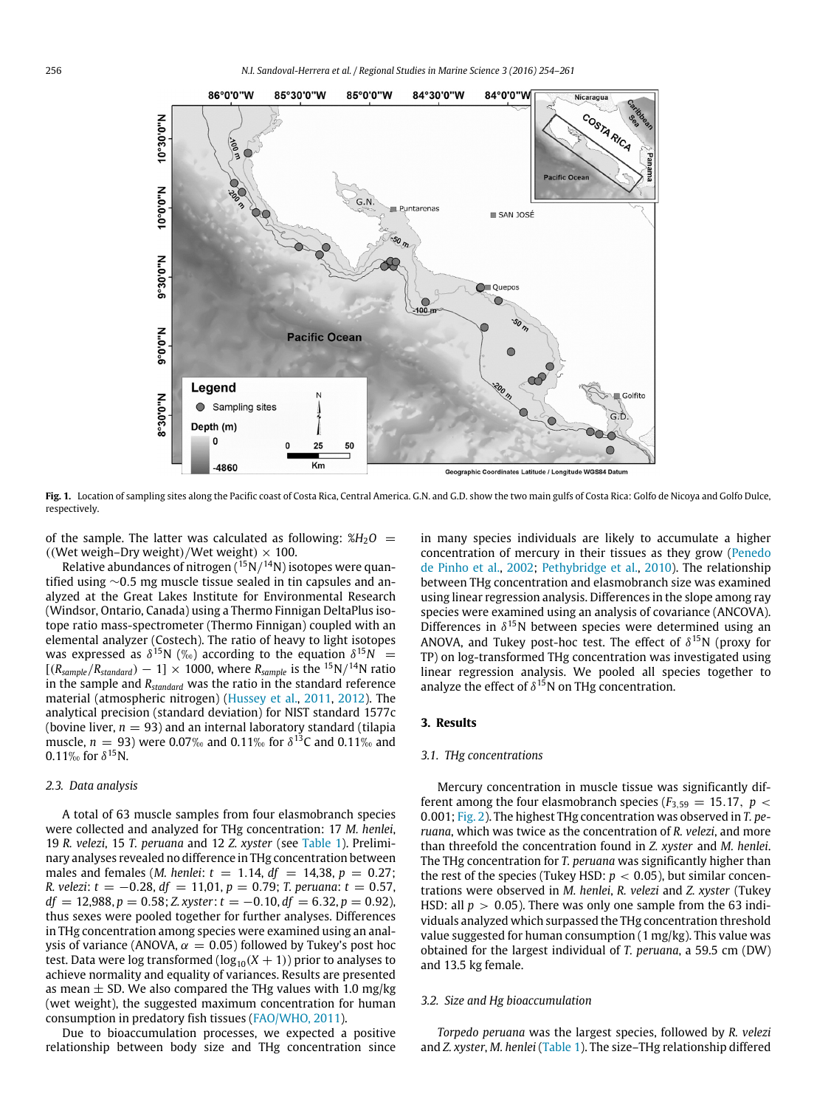<span id="page-2-0"></span>

**Fig. 1.** Location of sampling sites along the Pacific coast of Costa Rica, Central America. G.N. and G.D. show the two main gulfs of Costa Rica: Golfo de Nicoya and Golfo Dulce, respectively.

of the sample. The latter was calculated as following:  $\%H_2O$  = ((Wet weigh–Dry weight)/Wet weight)  $\times$  100.

Relative abundances of nitrogen  $(^{15}N/^{14}N)$  isotopes were quantified using ∼0.5 mg muscle tissue sealed in tin capsules and analyzed at the Great Lakes Institute for Environmental Research (Windsor, Ontario, Canada) using a Thermo Finnigan DeltaPlus isotope ratio mass-spectrometer (Thermo Finnigan) coupled with an elemental analyzer (Costech). The ratio of heavy to light isotopes was expressed as  $\delta^{15}N$  (%) according to the equation  $\delta^{15}N =$  $[(R_{sample}/R_{standard}) - 1] \times 1000$ , where  $R_{sample}$  is the <sup>15</sup>N/<sup>14</sup>N ratio in the sample and *Rstandard* was the ratio in the standard reference material (atmospheric nitrogen) [\(Hussey](#page-7-18) [et al.,](#page-7-18) [2011,](#page-7-18) [2012\)](#page-7-18). The analytical precision (standard deviation) for NIST standard 1577c (bovine liver,  $n = 93$ ) and an internal laboratory standard (tilapia muscle, *n* = 93) were 0.07‰ and 0.11‰ for  $\delta^{13}$ C and 0.11‰ and 0.11‰ for  $\delta^{15}$ N.

#### *2.3. Data analysis*

A total of 63 muscle samples from four elasmobranch species were collected and analyzed for THg concentration: 17 *M. henlei*, 19 *R. velezi*, 15 *T. peruana* and 12 *Z. xyster* (see [Table 1\)](#page-3-0). Preliminary analyses revealed no difference in THg concentration between males and females (*M. henlei*:  $t = 1.14$ ,  $df = 14,38$ ,  $p = 0.27$ ; *R. velezi*: *t* = −0.28, *df* = 11,01, *p* = 0.79; *T. peruana*: *t* = 0.57,  $df = 12,988, p = 0.58; Z. xyster: t = -0.10, df = 6.32, p = 0.92$ ), thus sexes were pooled together for further analyses. Differences in THg concentration among species were examined using an analysis of variance (ANOVA,  $\alpha = 0.05$ ) followed by Tukey's post hoc test. Data were log transformed ( $log_{10}(X + 1)$ ) prior to analyses to achieve normality and equality of variances. Results are presented as mean  $\pm$  SD. We also compared the THg values with 1.0 mg/kg (wet weight), the suggested maximum concentration for human consumption in predatory fish tissues [\(FAO/WHO,](#page-6-12) [2011\)](#page-6-12).

Due to bioaccumulation processes, we expected a positive relationship between body size and THg concentration since in many species individuals are likely to accumulate a higher concentration of mercury in their tissues as they grow [\(Penedo](#page-7-23) [de](#page-7-23) [Pinho](#page-7-23) [et al.,](#page-7-23) [2002;](#page-7-23) [Pethybridge](#page-7-24) [et al.,](#page-7-24) [2010\)](#page-7-24). The relationship between THg concentration and elasmobranch size was examined using linear regression analysis. Differences in the slope among ray species were examined using an analysis of covariance (ANCOVA). Differences in  $\delta^{15}$ N between species were determined using an ANOVA, and Tukey post-hoc test. The effect of  $\delta^{15}N$  (proxy for TP) on log-transformed THg concentration was investigated using linear regression analysis. We pooled all species together to analyze the effect of  $\delta^{15}$ N on THg concentration.

#### **3. Results**

#### *3.1. THg concentrations*

Mercury concentration in muscle tissue was significantly different among the four elasmobranch species ( $F_{3,59} = 15.17$ ,  $p <$ 0.001; [Fig. 2\)](#page-3-1). The highest THg concentration was observed in *T. peruana*, which was twice as the concentration of *R. velezi*, and more than threefold the concentration found in *Z. xyster* and *M. henlei*. The THg concentration for *T. peruana* was significantly higher than the rest of the species (Tukey HSD:  $p < 0.05$ ), but similar concentrations were observed in *M. henlei*, *R. velezi* and *Z. xyster* (Tukey HSD: all  $p > 0.05$ ). There was only one sample from the 63 individuals analyzed which surpassed the THg concentration threshold value suggested for human consumption (1 mg/kg). This value was obtained for the largest individual of *T. peruana*, a 59.5 cm (DW) and 13.5 kg female.

#### *3.2. Size and Hg bioaccumulation*

*Torpedo peruana* was the largest species, followed by *R. velezi* and *Z. xyster*, *M. henlei* [\(Table 1\)](#page-3-0). The size–THg relationship differed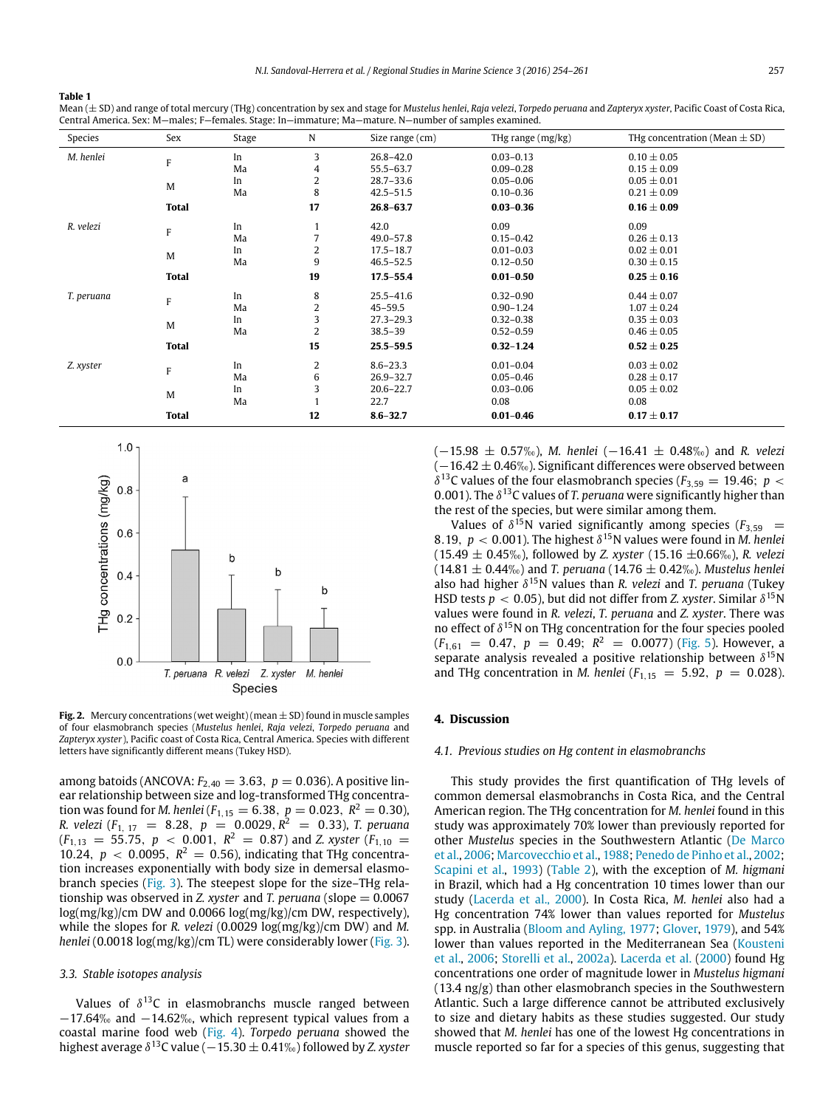#### <span id="page-3-0"></span>**Table 1**

| Mean $(\pm$ SD) and range of total mercury (THg) concentration by sex and stage for Mustelus henlei, Raja velezi, Torpedo peruana and Zapteryx xyster, Pacific Coast of Costa Rica, |
|-------------------------------------------------------------------------------------------------------------------------------------------------------------------------------------|
| Central America, Sex: M—males: F—females, Stage: In—immature: Ma—mature, N—number of samples examined,                                                                              |

| Species        | Sex          | Stage | N                       | Size range (cm) | THg range (mg/kg) | THg concentration (Mean $\pm$ SD) |
|----------------|--------------|-------|-------------------------|-----------------|-------------------|-----------------------------------|
| M. henlei<br>F |              | In    | 3                       | $26.8 - 42.0$   | $0.03 - 0.13$     | $0.10 \pm 0.05$                   |
|                |              | Ma    | 4                       | $55.5 - 63.7$   | $0.09 - 0.28$     | $0.15 \pm 0.09$                   |
|                | M            | In    | $\overline{2}$          | $28.7 - 33.6$   | $0.05 - 0.06$     | $0.05 \pm 0.01$                   |
|                |              | Ma    | 8                       | $42.5 - 51.5$   | $0.10 - 0.36$     | $0.21 \pm 0.09$                   |
|                | <b>Total</b> |       | 17                      | $26.8 - 63.7$   | $0.03 - 0.36$     | $0.16 \pm 0.09$                   |
| R. velezi      | $\mathsf F$  | In    |                         | 42.0            | 0.09              | 0.09                              |
|                |              | Ma    | 7                       | $49.0 - 57.8$   | $0.15 - 0.42$     | $0.26 \pm 0.13$                   |
|                | M            | In    | 2                       | $17.5 - 18.7$   | $0.01 - 0.03$     | $0.02 \pm 0.01$                   |
|                |              | Ma    | 9                       | $46.5 - 52.5$   | $0.12 - 0.50$     | $0.30 \pm 0.15$                   |
|                | <b>Total</b> |       | 19                      | $17.5 - 55.4$   | $0.01 - 0.50$     | $0.25 \pm 0.16$                   |
| T. peruana     | $\mathbf{F}$ | In    | 8                       | $25.5 - 41.6$   | $0.32 - 0.90$     | $0.44 \pm 0.07$                   |
|                |              | Ma    | $\overline{\mathbf{c}}$ | $45 - 59.5$     | $0.90 - 1.24$     | $1.07 \pm 0.24$                   |
|                | M            | In    | 3                       | $27.3 - 29.3$   | $0.32 - 0.38$     | $0.35 \pm 0.03$                   |
|                |              | Ma    | 2                       | $38.5 - 39$     | $0.52 - 0.59$     | $0.46 \pm 0.05$                   |
|                | <b>Total</b> |       | 15                      | $25.5 - 59.5$   | $0.32 - 1.24$     | $0.52 \pm 0.25$                   |
| Z. xyster      | F            | In    | 2                       | $8.6 - 23.3$    | $0.01 - 0.04$     | $0.03 \pm 0.02$                   |
|                |              | Ma    | 6                       | $26.9 - 32.7$   | $0.05 - 0.46$     | $0.28 \pm 0.17$                   |
|                | M            | In    | 3                       | $20.6 - 22.7$   | $0.03 - 0.06$     | $0.05 \pm 0.02$                   |
|                |              | Ma    |                         | 22.7            | 0.08              | 0.08                              |
|                | <b>Total</b> |       | 12                      | $8.6 - 32.7$    | $0.01 - 0.46$     | $0.17 \pm 0.17$                   |

<span id="page-3-1"></span>

**Fig. 2.** Mercury concentrations (wet weight) (mean  $\pm$  SD) found in muscle samples of four elasmobranch species (*Mustelus henlei*, *Raja velezi*, *Torpedo peruana* and *Zapteryx xyster*), Pacific coast of Costa Rica, Central America. Species with different letters have significantly different means (Tukey HSD).

among batoids (ANCOVA:  $F_{2,40} = 3.63$ ,  $p = 0.036$ ). A positive linear relationship between size and log-transformed THg concentration was found for *M. henlei* ( $F_{1,15} = 6.38, p = 0.023, R^2 = 0.30$ ), *R. velezi* (*F*1, <sup>17</sup> = 8.28, *p* = 0.0029, *R* <sup>2</sup> = 0.33), *T. peruana*  $(F_{1,13} = 55.75, p < 0.001, R<sup>2</sup> = 0.87)$  and *Z. xyster*  $(F_{1,10} =$ 10.24,  $p < 0.0095$ ,  $R^2 = 0.56$ ), indicating that THg concentration increases exponentially with body size in demersal elasmobranch species [\(Fig. 3\)](#page-4-0). The steepest slope for the size–THg relationship was observed in *Z. xyster* and *T. peruana* (slope = 0.0067 log(mg/kg)/cm DW and 0.0066 log(mg/kg)/cm DW, respectively), while the slopes for *R. velezi* (0.0029 log(mg/kg)/cm DW) and *M. henlei* (0.0018 log(mg/kg)/cm TL) were considerably lower [\(Fig. 3\)](#page-4-0).

#### *3.3. Stable isotopes analysis*

Values of  $\delta^{13}$ C in elasmobranchs muscle ranged between  $-17.64%$  and  $-14.62%$ , which represent typical values from a coastal marine food web [\(Fig. 4\)](#page-4-1). *Torpedo peruana* showed the highest average  $\delta^{13}$ C value ( $-15.30 \pm 0.41\%$ ) followed by *Z. xyster* 

(−15.98 <sup>±</sup> 0.57h), *M. henlei* (−16.41 <sup>±</sup> 0.48h) and *R. velezi*  $(-16.42 \pm 0.46\%)$ . Significant differences were observed between  $\delta^{13}$ C values of the four elasmobranch species ( $F_{3,59} = 19.46$ ;  $p <$ 0.001). The  $\delta^{13}$ C values of *T. peruana* were significantly higher than the rest of the species, but were similar among them.

Values of  $\delta^{15}$ N varied significantly among species ( $F_{3,59}$  = 8.19,  $p < 0.001$ ). The highest  $\delta^{15}$ N values were found in *M. henlei* (15.49  $\pm$  0.45‰), followed by *Z. xyster* (15.16  $\pm$ 0.66‰), *R. velezi*  $(14.81 \pm 0.44\%)$  and *T. peruana* (14.76  $\pm$  0.42<sub>%</sub>). *Mustelus henlei* also had higher  $\delta^{15}$ N values than *R. velezi* and *T. peruana* (Tukey HSD tests  $p < 0.05$ ), but did not differ from *Z. xyster*. Similar  $\delta^{15}$ N values were found in *R. velezi*, *T. peruana* and *Z. xyster*. There was no effect of  $\delta^{15}$ N on THg concentration for the four species pooled  $(F_{1,61} = 0.47, p = 0.49; R^2 = 0.0077)$  [\(Fig. 5\)](#page-4-2). However, a separate analysis revealed a positive relationship between  $\delta^{15}$ N and THg concentration in *M. henlei* ( $F_{1,15} = 5.92$ ,  $p = 0.028$ ).

#### **4. Discussion**

#### *4.1. Previous studies on Hg content in elasmobranchs*

This study provides the first quantification of THg levels of common demersal elasmobranchs in Costa Rica, and the Central American region. The THg concentration for *M. henlei* found in this study was approximately 70% lower than previously reported for other *Mustelus* species in the Southwestern Atlantic [\(De](#page-6-14) [Marco](#page-6-14) [et al.,](#page-6-14) [2006;](#page-6-14) [Marcovecchio](#page-7-25) [et al.,](#page-7-25) [1988;](#page-7-25) [Penedo](#page-7-23) [de](#page-7-23) [Pinho](#page-7-23) [et al.,](#page-7-23) [2002;](#page-7-23) [Scapini](#page-7-26) [et al.,](#page-7-26) [1993\)](#page-7-26) [\(Table 2\)](#page-5-0), with the exception of *M. higmani* in Brazil, which had a Hg concentration 10 times lower than our study [\(Lacerda](#page-7-27) [et al.,](#page-7-27) [2000\)](#page-7-27). In Costa Rica, *M. henlei* also had a Hg concentration 74% lower than values reported for *Mustelus* spp. in Australia [\(Bloom](#page-6-15) [and](#page-6-15) [Ayling,](#page-6-15) [1977;](#page-6-15) [Glover,](#page-7-28) [1979\)](#page-7-28), and 54% lower than values reported in the Mediterranean Sea [\(Kousteni](#page-7-29) [et al.,](#page-7-29) [2006;](#page-7-29) [Storelli](#page-7-30) [et al.,](#page-7-30) [2002a\)](#page-7-30). [Lacerda](#page-7-27) [et al.](#page-7-27) [\(2000\)](#page-7-27) found Hg concentrations one order of magnitude lower in *Mustelus higmani* (13.4 ng/g) than other elasmobranch species in the Southwestern Atlantic. Such a large difference cannot be attributed exclusively to size and dietary habits as these studies suggested. Our study showed that *M. henlei* has one of the lowest Hg concentrations in muscle reported so far for a species of this genus, suggesting that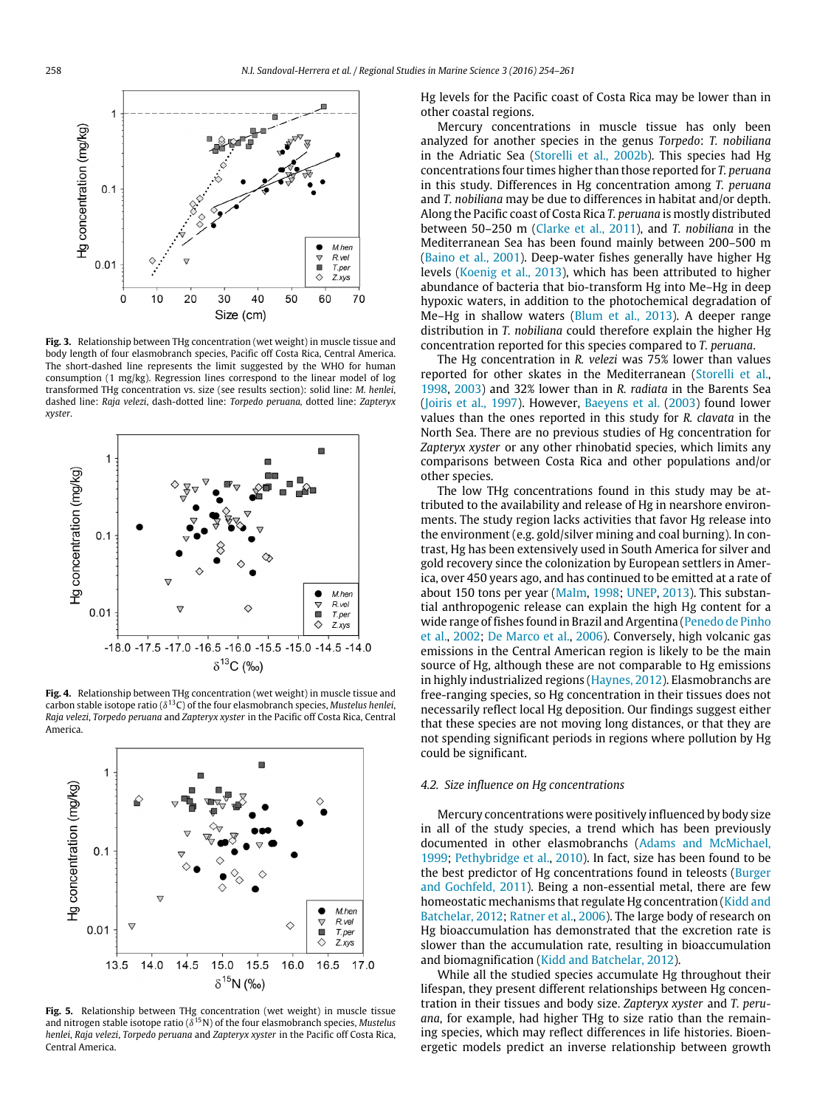<span id="page-4-0"></span>

**Fig. 3.** Relationship between THg concentration (wet weight) in muscle tissue and body length of four elasmobranch species, Pacific off Costa Rica, Central America. The short-dashed line represents the limit suggested by the WHO for human consumption (1 mg/kg). Regression lines correspond to the linear model of log transformed THg concentration vs. size (see results section): solid line: *M. henlei*, dashed line: *Raja velezi*, dash-dotted line: *Torpedo peruana,* dotted line: *Zapteryx xyster*.

<span id="page-4-1"></span>

**Fig. 4.** Relationship between THg concentration (wet weight) in muscle tissue and carbon stable isotope ratio (δ <sup>13</sup>C) of the four elasmobranch species, *Mustelus henlei*, *Raja velezi*, *Torpedo peruana* and *Zapteryx xyster* in the Pacific off Costa Rica, Central America.

<span id="page-4-2"></span>

**Fig. 5.** Relationship between THg concentration (wet weight) in muscle tissue and nitrogen stable isotope ratio (δ <sup>15</sup>N) of the four elasmobranch species, *Mustelus henlei*, *Raja velezi*, *Torpedo peruana* and *Zapteryx xyster* in the Pacific off Costa Rica, Central America.

Hg levels for the Pacific coast of Costa Rica may be lower than in other coastal regions.

Mercury concentrations in muscle tissue has only been analyzed for another species in the genus *Torpedo*: *T. nobiliana* in the Adriatic Sea [\(Storelli](#page-7-31) [et al.,](#page-7-31) [2002b\)](#page-7-31). This species had Hg concentrations four times higher than those reported for *T. peruana* in this study. Differences in Hg concentration among *T. peruana* and *T. nobiliana* may be due to differences in habitat and/or depth. Along the Pacific coast of Costa Rica *T. peruana* is mostly distributed between 50–250 m [\(Clarke](#page-6-10) [et al.,](#page-6-10) [2011\)](#page-6-10), and *T. nobiliana* in the Mediterranean Sea has been found mainly between 200–500 m [\(Baino](#page-6-16) [et al.,](#page-6-16) [2001\)](#page-6-16). Deep-water fishes generally have higher Hg levels [\(Koenig](#page-7-32) [et al.,](#page-7-32) [2013\)](#page-7-32), which has been attributed to higher abundance of bacteria that bio-transform Hg into Me–Hg in deep hypoxic waters, in addition to the photochemical degradation of Me–Hg in shallow waters [\(Blum](#page-6-17) [et al.,](#page-6-17) [2013\)](#page-6-17). A deeper range distribution in *T. nobiliana* could therefore explain the higher Hg concentration reported for this species compared to *T. peruana*.

The Hg concentration in *R. velezi* was 75% lower than values reported for other skates in the Mediterranean [\(Storelli](#page-7-33) [et al.,](#page-7-33) [1998,](#page-7-33) [2003\)](#page-7-33) and 32% lower than in *R. radiata* in the Barents Sea [\(Joiris](#page-7-34) [et al.,](#page-7-34) [1997\)](#page-7-34). However, [Baeyens](#page-6-18) [et al.](#page-6-18) [\(2003\)](#page-6-18) found lower values than the ones reported in this study for *R. clavata* in the North Sea. There are no previous studies of Hg concentration for *Zapteryx xyster* or any other rhinobatid species, which limits any comparisons between Costa Rica and other populations and/or other species.

The low THg concentrations found in this study may be attributed to the availability and release of Hg in nearshore environments. The study region lacks activities that favor Hg release into the environment (e.g. gold/silver mining and coal burning). In contrast, Hg has been extensively used in South America for silver and gold recovery since the colonization by European settlers in America, over 450 years ago, and has continued to be emitted at a rate of about 150 tons per year [\(Malm,](#page-7-35) [1998;](#page-7-35) [UNEP,](#page-7-36) [2013\)](#page-7-36). This substantial anthropogenic release can explain the high Hg content for a wide range of fishes found in Brazil and Argentina [\(Penedo](#page-7-23) [de](#page-7-23) [Pinho](#page-7-23) [et al.,](#page-7-23) [2002;](#page-7-23) [De](#page-6-14) [Marco](#page-6-14) [et al.,](#page-6-14) [2006\)](#page-6-14). Conversely, high volcanic gas emissions in the Central American region is likely to be the main source of Hg, although these are not comparable to Hg emissions in highly industrialized regions [\(Haynes,](#page-7-11) [2012\)](#page-7-11). Elasmobranchs are free-ranging species, so Hg concentration in their tissues does not necessarily reflect local Hg deposition. Our findings suggest either that these species are not moving long distances, or that they are not spending significant periods in regions where pollution by Hg could be significant.

#### *4.2. Size influence on Hg concentrations*

Mercury concentrations were positively influenced by body size in all of the study species, a trend which has been previously documented in other elasmobranchs [\(Adams](#page-6-19) [and](#page-6-19) [McMichael,](#page-6-19) [1999;](#page-6-19) [Pethybridge](#page-7-24) [et al.,](#page-7-24) [2010\)](#page-7-24). In fact, size has been found to be the best predictor of Hg concentrations found in teleosts [\(Burger](#page-6-5) [and](#page-6-5) [Gochfeld,](#page-6-5) [2011\)](#page-6-5). Being a non-essential metal, there are few homeostatic mechanisms that regulate Hg concentration [\(Kidd](#page-7-7) [and](#page-7-7) [Batchelar,](#page-7-7) [2012;](#page-7-7) [Ratner](#page-7-37) [et al.,](#page-7-37) [2006\)](#page-7-37). The large body of research on Hg bioaccumulation has demonstrated that the excretion rate is slower than the accumulation rate, resulting in bioaccumulation and biomagnification [\(Kidd](#page-7-7) [and](#page-7-7) [Batchelar,](#page-7-7) [2012\)](#page-7-7).

While all the studied species accumulate Hg throughout their lifespan, they present different relationships between Hg concentration in their tissues and body size. *Zapteryx xyster* and *T. peruana*, for example, had higher THg to size ratio than the remaining species, which may reflect differences in life histories. Bioenergetic models predict an inverse relationship between growth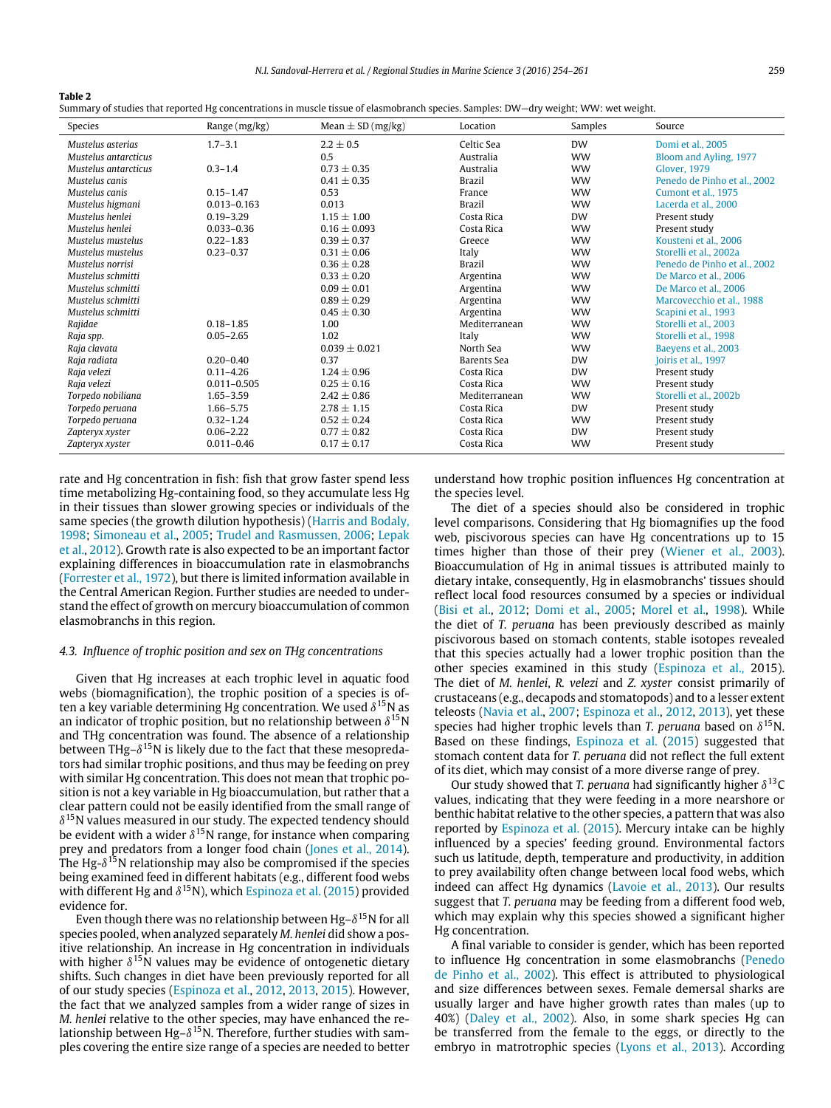<span id="page-5-0"></span>

| . .<br>٠<br>×<br>I |
|--------------------|
|--------------------|

|  |  |  | Summary of studies that reported Hg concentrations in muscle tissue of elasmobranch species. Samples: DW–dry weight; WW: wet weight. |
|--|--|--|--------------------------------------------------------------------------------------------------------------------------------------|
|  |  |  |                                                                                                                                      |

| Species              | Range (mg/kg)   | Mean $\pm$ SD (mg/kg) | Location      | Samples   | Source                       |
|----------------------|-----------------|-----------------------|---------------|-----------|------------------------------|
| Mustelus asterias    | $1.7 - 3.1$     | $2.2 + 0.5$           | Celtic Sea    | <b>DW</b> | Domi et al., 2005            |
| Mustelus antarcticus |                 | 0.5                   | Australia     | <b>WW</b> | Bloom and Ayling, 1977       |
| Mustelus antarcticus | $0.3 - 1.4$     | $0.73 \pm 0.35$       | Australia     | <b>WW</b> | Glover, 1979                 |
| Mustelus canis       |                 | $0.41 + 0.35$         | <b>Brazil</b> | <b>WW</b> | Penedo de Pinho et al., 2002 |
| Mustelus canis       | $0.15 - 1.47$   | 0.53                  | France        | <b>WW</b> | Cumont et al., 1975          |
| Mustelus higmani     | $0.013 - 0.163$ | 0.013                 | <b>Brazil</b> | <b>WW</b> | Lacerda et al., 2000         |
| Mustelus henlei      | $0.19 - 3.29$   | $1.15 + 1.00$         | Costa Rica    | <b>DW</b> | Present study                |
| Mustelus henlei      | $0.033 - 0.36$  | $0.16 + 0.093$        | Costa Rica    | <b>WW</b> | Present study                |
| Mustelus mustelus    | $0.22 - 1.83$   | $0.39 \pm 0.37$       | Greece        | <b>WW</b> | Kousteni et al., 2006        |
| Mustelus mustelus    | $0.23 - 0.37$   | $0.31 \pm 0.06$       | Italy         | <b>WW</b> | Storelli et al., 2002a       |
| Mustelus norrisi     |                 | $0.36 + 0.28$         | <b>Brazil</b> | <b>WW</b> | Penedo de Pinho et al., 2002 |
| Mustelus schmitti    |                 | $0.33 + 0.20$         | Argentina     | <b>WW</b> | De Marco et al., 2006        |
| Mustelus schmitti    |                 | $0.09 + 0.01$         | Argentina     | <b>WW</b> | De Marco et al., 2006        |
| Mustelus schmitti    |                 | $0.89 + 0.29$         | Argentina     | <b>WW</b> | Marcovecchio et al., 1988    |
| Mustelus schmitti    |                 | $0.45 + 0.30$         | Argentina     | <b>WW</b> | Scapini et al., 1993         |
| Rajidae              | $0.18 - 1.85$   | 1.00                  | Mediterranean | <b>WW</b> | Storelli et al., 2003        |
| Raja spp.            | $0.05 - 2.65$   | 1.02                  | Italy         | <b>WW</b> | Storelli et al., 1998        |
| Raja clavata         |                 | $0.039 + 0.021$       | North Sea     | <b>WW</b> | Baeyens et al., 2003         |
| Raja radiata         | $0.20 - 0.40$   | 0.37                  | Barents Sea   | <b>DW</b> | Joiris et al., 1997          |
| Raja velezi          | $0.11 - 4.26$   | $1.24 \pm 0.96$       | Costa Rica    | <b>DW</b> | Present study                |
| Raja velezi          | $0.011 - 0.505$ | $0.25 \pm 0.16$       | Costa Rica    | <b>WW</b> | Present study                |
| Torpedo nobiliana    | $1.65 - 3.59$   | $2.42 + 0.86$         | Mediterranean | <b>WW</b> | Storelli et al., 2002b       |
| Torpedo peruana      | $1.66 - 5.75$   | $2.78 \pm 1.15$       | Costa Rica    | <b>DW</b> | Present study                |
| Torpedo peruana      | $0.32 - 1.24$   | $0.52 \pm 0.24$       | Costa Rica    | <b>WW</b> | Present study                |
| Zapteryx xyster      | $0.06 - 2.22$   | $0.77 \pm 0.82$       | Costa Rica    | <b>DW</b> | Present study                |
| Zapteryx xyster      | $0.011 - 0.46$  | $0.17 \pm 0.17$       | Costa Rica    | <b>WW</b> | Present study                |

rate and Hg concentration in fish: fish that grow faster spend less time metabolizing Hg-containing food, so they accumulate less Hg in their tissues than slower growing species or individuals of the same species (the growth dilution hypothesis) [\(Harris](#page-7-39) [and](#page-7-39) [Bodaly,](#page-7-39) [1998;](#page-7-39) [Simoneau](#page-7-40) [et al.,](#page-7-40) [2005;](#page-7-40) [Trudel](#page-7-41) [and](#page-7-41) [Rasmussen,](#page-7-41) [2006;](#page-7-41) [Lepak](#page-7-42) [et al.,](#page-7-42) [2012\)](#page-7-42). Growth rate is also expected to be an important factor explaining differences in bioaccumulation rate in elasmobranchs [\(Forrester](#page-7-43) [et al.,](#page-7-43) [1972\)](#page-7-43), but there is limited information available in the Central American Region. Further studies are needed to understand the effect of growth on mercury bioaccumulation of common elasmobranchs in this region.

## *4.3. Influence of trophic position and sex on THg concentrations*

Given that Hg increases at each trophic level in aquatic food webs (biomagnification), the trophic position of a species is often a key variable determining Hg concentration. We used  $\delta^{15}$ N as an indicator of trophic position, but no relationship between  $\delta^{15}$ N and THg concentration was found. The absence of a relationship between THg– $\delta^{15}$ N is likely due to the fact that these mesopredators had similar trophic positions, and thus may be feeding on prey with similar Hg concentration. This does not mean that trophic position is not a key variable in Hg bioaccumulation, but rather that a clear pattern could not be easily identified from the small range of  $\delta^{15}$ N values measured in our study. The expected tendency should be evident with a wider  $\delta^{15}$ N range, for instance when comparing prey and predators from a longer food chain [\(Jones](#page-7-44) [et al.,](#page-7-44) [2014\)](#page-7-44). The Hg- $\delta^{15}$ N relationship may also be compromised if the species being examined feed in different habitats (e.g., different food webs with different Hg and  $\delta^{15}$ N), which [Espinoza](#page-6-22) [et al.](#page-6-22) [\(2015\)](#page-6-22) provided evidence for.

Even though there was no relationship between Hg- $\delta^{15}$ N for all species pooled, when analyzed separately *M. henlei* did show a positive relationship. An increase in Hg concentration in individuals with higher  $\delta^{15}$ N values may be evidence of ontogenetic dietary shifts. Such changes in diet have been previously reported for all of our study species [\(Espinoza](#page-6-9) [et al.,](#page-6-9) [2012,](#page-6-9) [2013,](#page-6-9) [2015\)](#page-6-9). However, the fact that we analyzed samples from a wider range of sizes in *M. henlei* relative to the other species, may have enhanced the relationship between Hg– $\delta^{15}$ N. Therefore, further studies with samples covering the entire size range of a species are needed to better understand how trophic position influences Hg concentration at the species level.

The diet of a species should also be considered in trophic level comparisons. Considering that Hg biomagnifies up the food web, piscivorous species can have Hg concentrations up to 15 times higher than those of their prey [\(Wiener](#page-7-5) [et al.,](#page-7-5) [2003\)](#page-7-5). Bioaccumulation of Hg in animal tissues is attributed mainly to dietary intake, consequently, Hg in elasmobranchs' tissues should reflect local food resources consumed by a species or individual [\(Bisi](#page-6-23) [et al.,](#page-6-23) [2012;](#page-6-23) [Domi](#page-6-20) [et al.,](#page-6-20) [2005;](#page-6-20) [Morel](#page-7-45) [et al.,](#page-7-45) [1998\)](#page-7-45). While the diet of *T. peruana* has been previously described as mainly piscivorous based on stomach contents, stable isotopes revealed that this species actually had a lower trophic position than the other species examined in this study [\(Espinoza](#page-6-22) [et al.,](#page-6-22) 2015). The diet of *M. henlei*, *R. velezi* and *Z. xyster* consist primarily of crustaceans (e.g., decapods and stomatopods) and to a lesser extent teleosts [\(Navia](#page-7-46) [et al.,](#page-7-46) [2007;](#page-7-46) [Espinoza](#page-6-9) [et al.,](#page-6-9) [2012,](#page-6-9) [2013\)](#page-6-9), yet these species had higher trophic levels than *T. peruana* based on  $\delta^{15}$ N. Based on these findings, [Espinoza](#page-6-22) [et al.](#page-6-22) [\(2015\)](#page-6-22) suggested that stomach content data for *T. peruana* did not reflect the full extent of its diet, which may consist of a more diverse range of prey.

Our study showed that *T. peruana* had significantly higher  $\delta^{13}$ C values, indicating that they were feeding in a more nearshore or benthic habitat relative to the other species, a pattern that was also reported by [Espinoza](#page-6-22) [et al.](#page-6-22) [\(2015\)](#page-6-22). Mercury intake can be highly influenced by a species' feeding ground. Environmental factors such us latitude, depth, temperature and productivity, in addition to prey availability often change between local food webs, which indeed can affect Hg dynamics [\(Lavoie](#page-7-21) [et al.,](#page-7-21) [2013\)](#page-7-21). Our results suggest that *T. peruana* may be feeding from a different food web, which may explain why this species showed a significant higher Hg concentration.

A final variable to consider is gender, which has been reported to influence Hg concentration in some elasmobranchs [\(Penedo](#page-7-23) [de](#page-7-23) [Pinho](#page-7-23) [et al.,](#page-7-23) [2002\)](#page-7-23). This effect is attributed to physiological and size differences between sexes. Female demersal sharks are usually larger and have higher growth rates than males (up to 40%) [\(Daley](#page-6-24) [et al.,](#page-6-24) [2002\)](#page-6-24). Also, in some shark species Hg can be transferred from the female to the eggs, or directly to the embryo in matrotrophic species [\(Lyons](#page-7-47) [et al.,](#page-7-47) [2013\)](#page-7-47). According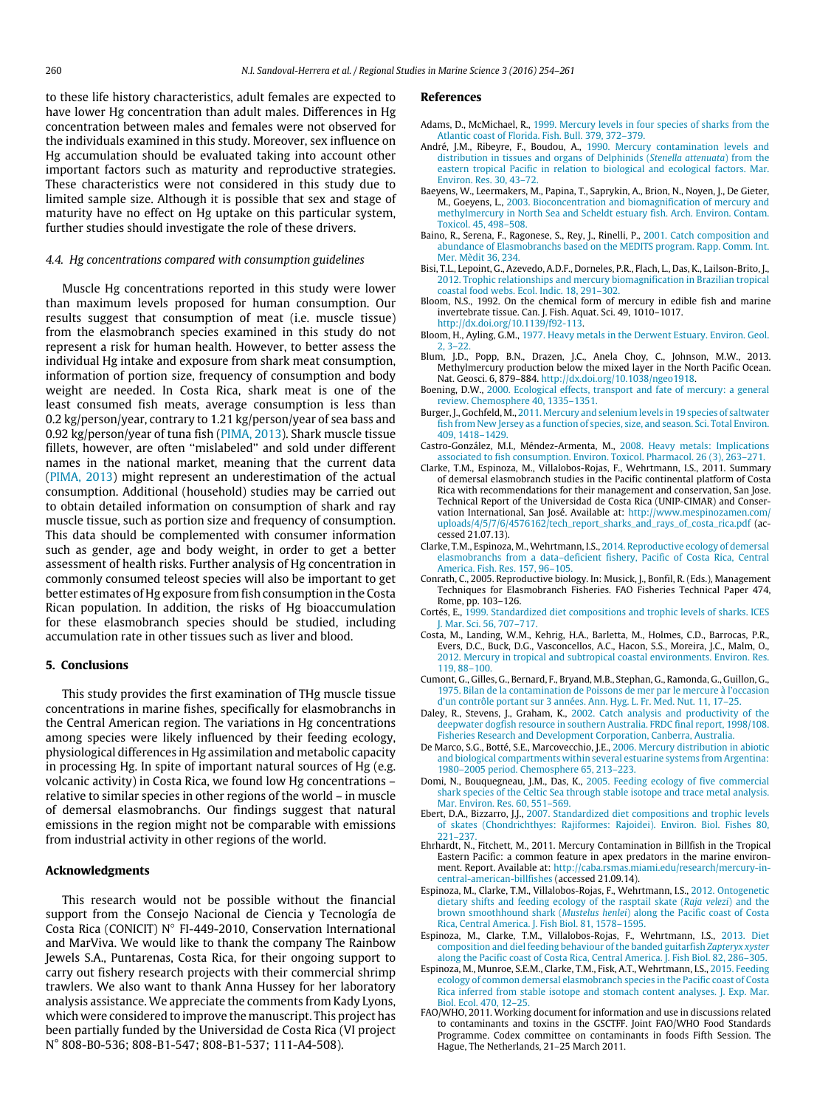to these life history characteristics, adult females are expected to have lower Hg concentration than adult males. Differences in Hg concentration between males and females were not observed for the individuals examined in this study. Moreover, sex influence on Hg accumulation should be evaluated taking into account other important factors such as maturity and reproductive strategies. These characteristics were not considered in this study due to limited sample size. Although it is possible that sex and stage of maturity have no effect on Hg uptake on this particular system, further studies should investigate the role of these drivers.

#### *4.4. Hg concentrations compared with consumption guidelines*

Muscle Hg concentrations reported in this study were lower than maximum levels proposed for human consumption. Our results suggest that consumption of meat (i.e. muscle tissue) from the elasmobranch species examined in this study do not represent a risk for human health. However, to better assess the individual Hg intake and exposure from shark meat consumption, information of portion size, frequency of consumption and body weight are needed. In Costa Rica, shark meat is one of the least consumed fish meats, average consumption is less than 0.2 kg/person/year, contrary to 1.21 kg/person/year of sea bass and 0.92 kg/person/year of tuna fish [\(PIMA,](#page-7-48) [2013\)](#page-7-48). Shark muscle tissue fillets, however, are often ''mislabeled'' and sold under different names in the national market, meaning that the current data [\(PIMA,](#page-7-48) [2013\)](#page-7-48) might represent an underestimation of the actual consumption. Additional (household) studies may be carried out to obtain detailed information on consumption of shark and ray muscle tissue, such as portion size and frequency of consumption. This data should be complemented with consumer information such as gender, age and body weight, in order to get a better assessment of health risks. Further analysis of Hg concentration in commonly consumed teleost species will also be important to get better estimates of Hg exposure from fish consumption in the Costa Rican population. In addition, the risks of Hg bioaccumulation for these elasmobranch species should be studied, including accumulation rate in other tissues such as liver and blood.

## **5. Conclusions**

This study provides the first examination of THg muscle tissue concentrations in marine fishes, specifically for elasmobranchs in the Central American region. The variations in Hg concentrations among species were likely influenced by their feeding ecology, physiological differences in Hg assimilation and metabolic capacity in processing Hg. In spite of important natural sources of Hg (e.g. volcanic activity) in Costa Rica, we found low Hg concentrations – relative to similar species in other regions of the world – in muscle of demersal elasmobranchs. Our findings suggest that natural emissions in the region might not be comparable with emissions from industrial activity in other regions of the world.

## **Acknowledgments**

This research would not be possible without the financial support from the Consejo Nacional de Ciencia y Tecnología de Costa Rica (CONICIT) N◦ FI-449-2010, Conservation International and MarViva. We would like to thank the company The Rainbow Jewels S.A., Puntarenas, Costa Rica, for their ongoing support to carry out fishery research projects with their commercial shrimp trawlers. We also want to thank Anna Hussey for her laboratory analysis assistance. We appreciate the comments from Kady Lyons, which were considered to improve the manuscript. This project has been partially funded by the Universidad de Costa Rica (VI project N° 808-B0-536; 808-B1-547; 808-B1-537; 111-A4-508).

#### **References**

- <span id="page-6-19"></span>Adams, D., McMichael, R., [1999. Mercury levels in four species of sharks from the](http://refhub.elsevier.com/S2352-4855(15)30004-9/sbref1) Atlantic coast of Florida. Fish. Bull. 379, 372–379.
- <span id="page-6-6"></span>André, J.M., Ribeyre, F., Boudou, A., 1990. Mercury contamination levels and distribution in tissues and organs of Delphinids (*Stenella attenuata*) from the eas[tern tropical Pacific in relation to biological and ecological factors. Mar.](http://refhub.elsevier.com/S2352-4855(15)30004-9/sbref2) Environ. Res. 30, 43–72.
- <span id="page-6-18"></span>Baeyen[s, W., Leermakers, M., Papina, T., Saprykin, A., Brion, N., Noyen, J., De Gieter,](http://refhub.elsevier.com/S2352-4855(15)30004-9/sbref3) M., Goeyens, L., 2003. Bioconcentration and biomagnification of mercury and methylmercury in North Sea and Scheldt estuary fish. Arch. Environ. Contam. Toxicol. 45, 498–508.
- <span id="page-6-16"></span>Baino, R., Serena, F., Ragonese, S., Rey, J., Rinelli, P., 2001. Catch composition and abu[ndance of Elasmobranchs based on the MEDITS program. Rapp. Comm. Int.](http://refhub.elsevier.com/S2352-4855(15)30004-9/sbref4) Mer. Mèdit 36, 234.
- <span id="page-6-23"></span>Bisi, T.L[., Lepoint, G., Azevedo, A.D.F., Dorneles, P.R., Flach, L., Das, K., Lailson-Brito, J.,](http://refhub.elsevier.com/S2352-4855(15)30004-9/sbref5) 2012. Trophic relationships and mercury biomagnification in Brazilian tropical coastal food webs. Ecol. Indic. 18, 291–302.
- <span id="page-6-1"></span>Bloom, N.S., 1992. On the chemical form of mercury in edible fish and marine invertebrate tissue. Can. J. Fish. Aquat. Sci. 49, 1010–1017. [http://dx.doi.org/10.1139/f92-113.](http://dx.doi.org/10.1139/f92-113)
- <span id="page-6-15"></span>Bloom, H., Ayling, G.M., [1977. Heavy metals in the Derwent Estuary. Environ. Geol.](http://refhub.elsevier.com/S2352-4855(15)30004-9/sbref7) 2, 3–22.
- <span id="page-6-17"></span>Blum, J.D., Popp, B.N., Drazen, J.C., Anela Choy, C., Johnson, M.W., 2013. Methylmercury production below the mixed layer in the North Pacific Ocean. Nat. Geosci. 6, 879–884. [http://dx.doi.org/10.1038/ngeo1918.](http://dx.doi.org/10.1038/ngeo1918)
- <span id="page-6-2"></span>Boening, D.W., [2000. Ecological effects, transport and fate of mercury: a general](http://refhub.elsevier.com/S2352-4855(15)30004-9/sbref9) review. Chemosphere 40, 1335–1351.
- <span id="page-6-5"></span>Burger, J., Gochfeld, M., 2011. Mercury and selenium levels in 19 species of saltwater fish [from New Jersey as a function of species, size, and season. Sci. Total Environ.](http://refhub.elsevier.com/S2352-4855(15)30004-9/sbref10) 409, 1418–1429.
- <span id="page-6-11"></span>Castro-González, M.I., Méndez-Armenta, M., 2008. Heavy metals: Implications ass[ociated to fish consumption. Environ. Toxicol. Pharmacol. 26 \(3\), 263–271.](http://refhub.elsevier.com/S2352-4855(15)30004-9/sbref11)
- <span id="page-6-10"></span>Clarke, T.M., Espinoza, M., Villalobos-Rojas, F., Wehrtmann, I.S., 2011. Summary of demersal elasmobranch studies in the Pacific continental platform of Costa Rica with recommendations for their management and conservation, San Jose. Technical Report of the Universidad de Costa Rica (UNIP-CIMAR) and Conservation International, San José. Available at: [http://www.mespinozamen.com/](http://www.mespinozamen.com/uploads/4/5/7/6/4576162/tech_report_sharks_and_rays_of_costa_rica.pdf) [uploads/4/5/7/6/4576162/tech\\_report\\_sharks\\_and\\_rays\\_of\\_costa\\_rica.pdf](http://www.mespinozamen.com/uploads/4/5/7/6/4576162/tech_report_sharks_and_rays_of_costa_rica.pdf) (accessed 21.07.13).
- <span id="page-6-8"></span>Clarke, T.M., Espinoza, M., Wehrtmann, I.S., 2014. Reproductive ecology of demersal ela[smobranchs from a data–deficient fishery, Pacific of Costa Rica, Central](http://refhub.elsevier.com/S2352-4855(15)30004-9/sbref13) America. Fish. Res. 157, 96–105.
- <span id="page-6-13"></span>Conrath, C., 2005. Reproductive biology. In: Musick, J., Bonfil, R. (Eds.), Management Techniques for Elasmobranch Fisheries. FAO Fisheries Technical Paper 474, Rome, pp. 103–126.
- <span id="page-6-3"></span>Cortés, E., [1999. Standardized diet compositions and trophic levels of sharks. ICES](http://refhub.elsevier.com/S2352-4855(15)30004-9/sbref15) J. Mar. Sci. 56, 707–717.
- <span id="page-6-0"></span>Costa, [M., Landing, W.M., Kehrig, H.A., Barletta, M., Holmes, C.D., Barrocas, P.R.,](http://refhub.elsevier.com/S2352-4855(15)30004-9/sbref16) Evers, D.C., Buck, D.G., Vasconcellos, A.C., Hacon, S.S., Moreira, J.C., Malm, O., 2012. Mercury in tropical and subtropical coastal environments. Environ. Res. 119, 88–100.
- <span id="page-6-21"></span>Cumon[t, G., Gilles, G., Bernard, F., Bryand, M.B., Stephan, G., Ramonda, G., Guillon, G.,](http://refhub.elsevier.com/S2352-4855(15)30004-9/sbref17) 1975. Bilan de la contamination de Poissons de mer par le mercure à l'occasion d'un contrôle portant sur 3 années. Ann. Hyg. L. Fr. Med. Nut. 11, 17–25.
- <span id="page-6-24"></span>Daley, R., Stevens, J., Graham, K., 2002. Catch analysis and productivity of the dee[pwater dogfish resource in southern Australia. FRDC final report, 1998/108.](http://refhub.elsevier.com/S2352-4855(15)30004-9/sbref18) Fisheries Research and Development Corporation, Canberra, Australia.
- <span id="page-6-14"></span>De Marco, S.G., Botté, S.E., Marcovecchio, J.E., 2006. Mercury distribution in abiotic an[d biological compartments within several estuarine systems from Argentina:](http://refhub.elsevier.com/S2352-4855(15)30004-9/sbref19) 1980–2005 period. Chemosphere 65, 213–223.
- <span id="page-6-20"></span>Domi, N., Bouquegneau, J.M., Das, K., 2005. Feeding ecology of five commercial sha[rk species of the Celtic Sea through stable isotope and trace metal analysis.](http://refhub.elsevier.com/S2352-4855(15)30004-9/sbref20) Mar. Environ. Res. 60, 551–569.
- <span id="page-6-4"></span>Ebert, D.A., Bizzarro, J.J., 2007. Standardized diet compositions and trophic levels of [skates \(Chondrichthyes: Rajiformes: Rajoidei\). Environ. Biol. Fishes 80,](http://refhub.elsevier.com/S2352-4855(15)30004-9/sbref21)  $221 - 27$
- <span id="page-6-7"></span>Ehrhardt, N., Fitchett, M., 2011. Mercury Contamination in Billfish in the Tropical Eastern Pacific: a common feature in apex predators in the marine environment. Report. Available at: [http://caba.rsmas.miami.edu/research/mercury-in](http://caba.rsmas.miami.edu/research/mercury-in-central-american-billfishes)[central-american-billfishes](http://caba.rsmas.miami.edu/research/mercury-in-central-american-billfishes) (accessed 21.09.14).
- <span id="page-6-9"></span>Espino[za, M., Clarke, T.M., Villalobos-Rojas, F., Wehrtmann, I.S.,](http://refhub.elsevier.com/S2352-4855(15)30004-9/sbref23) 2012. Ontogenetic dietary shifts and feeding ecology of the rasptail skate (*Raja velezi*) and the brown smoothhound shark (*Mustelus henlei*) along the Pacific coast of Costa Rica, Central America. J. Fish Biol. 81, 1578–1595.
- Espinoza, M., Clarke, T.M., Villalobos-Rojas, F., Wehrtmann, I.S., 2013. Diet composition and diel feeding behaviour of the banded guitarfish *Zapteryx xyster* alo[ng the Pacific coast of Costa Rica, Central America. J. Fish Biol. 82, 286–305.](http://refhub.elsevier.com/S2352-4855(15)30004-9/sbref24)
- <span id="page-6-22"></span>Espinoza, M., Munroe, S.E.M., Clarke, T.M., Fisk, A.T., Wehrtmann, I.S., 2015. Feeding eco[logy of common demersal elasmobranch species in the Pacific coast of Costa](http://refhub.elsevier.com/S2352-4855(15)30004-9/sbref25) Rica inferred from stable isotope and stomach content analyses. J. Exp. Mar. Biol. Ecol. 470, 12–25.
- <span id="page-6-12"></span>FAO/WHO, 2011. Working document for information and use in discussions related to contaminants and toxins in the GSCTFF. Joint FAO/WHO Food Standards Programme. Codex committee on contaminants in foods Fifth Session. The Hague, The Netherlands, 21–25 March 2011.